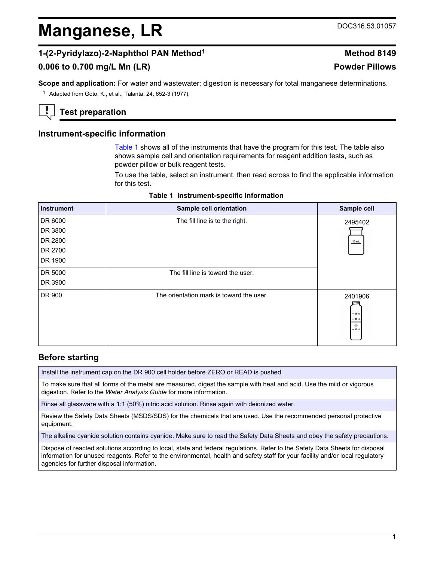# <span id="page-0-0"></span>**Manganese, LR** DOC316.53.01057

# **1-(2-Pyridylazo)-2-Naphthol PAN Method<sup>1</sup> Method 8149**

# **0.006 to 0.700 mg/L Mn (LR) Powder Pillows**

**Scope and application:** For water and wastewater; digestion is necessary for total manganese determinations.

<sup>1</sup> Adapted from Goto, K., et al., Talanta, 24, 652-3 (1977).

# **Test preparation**

## **Instrument-specific information**

Table 1 shows all of the instruments that have the program for this test. The table also shows sample cell and orientation requirements for reagent addition tests, such as powder pillow or bulk reagent tests.

To use the table, select an instrument, then read across to find the applicable information for this test.

| <b>Instrument</b> | Sample cell orientation                  | Sample cell                                  |
|-------------------|------------------------------------------|----------------------------------------------|
| DR 6000           | The fill line is to the right.           | 2495402                                      |
| DR 3800           |                                          |                                              |
| DR 2800           |                                          | $10$ mL                                      |
| DR 2700           |                                          |                                              |
| DR 1900           |                                          |                                              |
| DR 5000           | The fill line is toward the user.        |                                              |
| DR 3900           |                                          |                                              |
| DR 900            | The orientation mark is toward the user. | 2401906<br>$-25$ mL<br>$= 20$ mL<br>$-10$ mL |

#### **Table 1 Instrument-specific information**

## **Before starting**

Install the instrument cap on the DR 900 cell holder before ZERO or READ is pushed.

To make sure that all forms of the metal are measured, digest the sample with heat and acid. Use the mild or vigorous digestion. Refer to the *Water Analysis Guide* for more information.

Rinse all glassware with a 1:1 (50%) nitric acid solution. Rinse again with deionized water.

Review the Safety Data Sheets (MSDS/SDS) for the chemicals that are used. Use the recommended personal protective equipment.

The alkaline cyanide solution contains cyanide. Make sure to read the Safety Data Sheets and obey the safety precautions.

Dispose of reacted solutions according to local, state and federal regulations. Refer to the Safety Data Sheets for disposal information for unused reagents. Refer to the environmental, health and safety staff for your facility and/or local regulatory agencies for further disposal information.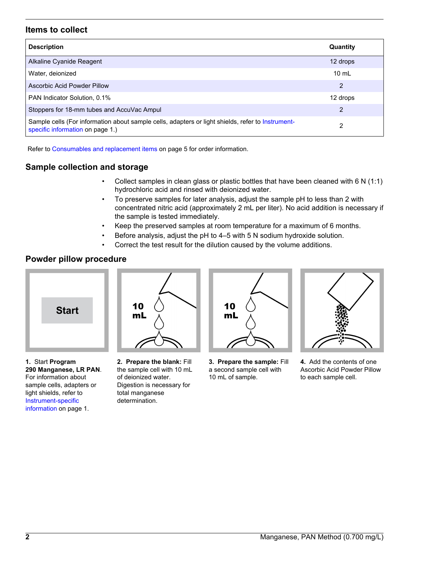## **Items to collect**

| <b>Description</b>                                                                                                                    | Quantity        |
|---------------------------------------------------------------------------------------------------------------------------------------|-----------------|
| Alkaline Cyanide Reagent                                                                                                              | 12 drops        |
| Water, deionized                                                                                                                      | $10 \text{ mL}$ |
| Ascorbic Acid Powder Pillow                                                                                                           | 2               |
| PAN Indicator Solution, 0.1%                                                                                                          | 12 drops        |
| Stoppers for 18-mm tubes and AccuVac Ampul                                                                                            | 2               |
| Sample cells (For information about sample cells, adapters or light shields, refer to Instrument-<br>specific information on page 1.) | 2               |

Refer to [Consumables and replacement items](#page-4-0) on page 5 for order information.

## **Sample collection and storage**

- Collect samples in clean glass or plastic bottles that have been cleaned with 6 N (1:1) hydrochloric acid and rinsed with deionized water.
- To preserve samples for later analysis, adjust the sample pH to less than 2 with concentrated nitric acid (approximately 2 mL per liter). No acid addition is necessary if the sample is tested immediately.
- Keep the preserved samples at room temperature for a maximum of 6 months.
- Before analysis, adjust the pH to 4–5 with 5 N sodium hydroxide solution.
- Correct the test result for the dilution caused by the volume additions.

## **Powder pillow procedure**



**1.** Start **Program 290 Manganese, LR PAN**. For information about sample cells, adapters or light shields, refer to [Instrument-specific](#page-0-0) [information](#page-0-0) on page 1.



**2. Prepare the blank:** Fill the sample cell with 10 mL of deionized water. Digestion is necessary for total manganese determination.



**3. Prepare the sample:** Fill a second sample cell with 10 mL of sample.



**4.** Add the contents of one Ascorbic Acid Powder Pillow to each sample cell.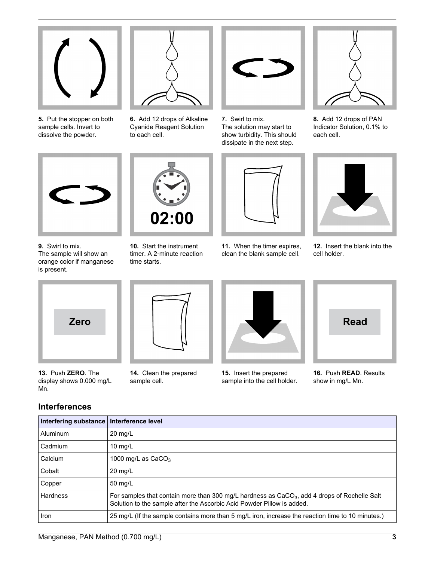

**5.** Put the stopper on both sample cells. Invert to dissolve the powder.



**6.** Add 12 drops of Alkaline Cyanide Reagent Solution to each cell.



**7.** Swirl to mix. The solution may start to show turbidity. This should dissipate in the next step.



**8.** Add 12 drops of PAN Indicator Solution, 0.1% to each cell.



**9.** Swirl to mix. The sample will show an orange color if manganese is present.



**10.** Start the instrument timer. A 2‑minute reaction time starts.

**11.** When the timer expires, clean the blank sample cell.



**12.** Insert the blank into the cell holder.



**13.** Push **ZERO**. The display shows 0.000 mg/L Mn.



**14.** Clean the prepared sample cell.



**15.** Insert the prepared sample into the cell holder.



**16.** Push **READ**. Results show in mg/L Mn.

| <b>Interferences</b> |
|----------------------|
|----------------------|

| Interfering substance   Interference level |                                                                                                                                                                          |
|--------------------------------------------|--------------------------------------------------------------------------------------------------------------------------------------------------------------------------|
| Aluminum                                   | $20 \text{ mg/L}$                                                                                                                                                        |
| Cadmium                                    | 10 $mq/L$                                                                                                                                                                |
| Calcium                                    | 1000 mg/L as $CaCO3$                                                                                                                                                     |
| Cobalt                                     | $20 \text{ mg/L}$                                                                                                                                                        |
| Copper                                     | 50 mg/L                                                                                                                                                                  |
| Hardness                                   | For samples that contain more than 300 mg/L hardness as $CaCO3$ , add 4 drops of Rochelle Salt<br>Solution to the sample after the Ascorbic Acid Powder Pillow is added. |
| Iron                                       | 25 mg/L (If the sample contains more than 5 mg/L iron, increase the reaction time to 10 minutes.)                                                                        |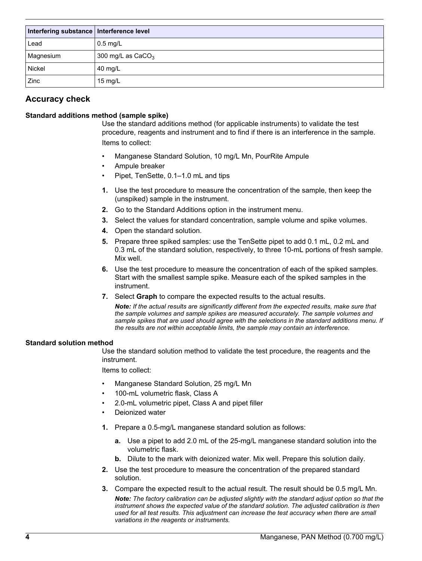| Interfering substance   Interference level |                     |
|--------------------------------------------|---------------------|
| Lead                                       | $0.5$ mg/L          |
| Magnesium                                  | 300 mg/L as $CaCO3$ |
| <b>Nickel</b>                              | 40 mg/L             |
| Zinc                                       | 15 mg/L             |

## **Accuracy check**

#### **Standard additions method (sample spike)**

Use the standard additions method (for applicable instruments) to validate the test procedure, reagents and instrument and to find if there is an interference in the sample. Items to collect:

- Manganese Standard Solution, 10 mg/L Mn, PourRite Ampule
- Ampule breaker
- Pipet, TenSette, 0.1–1.0 mL and tips
- **1.** Use the test procedure to measure the concentration of the sample, then keep the (unspiked) sample in the instrument.
- **2.** Go to the Standard Additions option in the instrument menu.
- **3.** Select the values for standard concentration, sample volume and spike volumes.
- **4.** Open the standard solution.
- **5.** Prepare three spiked samples: use the TenSette pipet to add 0.1 mL, 0.2 mL and 0.3 mL of the standard solution, respectively, to three 10-mL portions of fresh sample. Mix well.
- **6.** Use the test procedure to measure the concentration of each of the spiked samples. Start with the smallest sample spike. Measure each of the spiked samples in the instrument.
- **7.** Select **Graph** to compare the expected results to the actual results.

*Note: If the actual results are significantly different from the expected results, make sure that the sample volumes and sample spikes are measured accurately. The sample volumes and sample spikes that are used should agree with the selections in the standard additions menu. If the results are not within acceptable limits, the sample may contain an interference.*

#### **Standard solution method**

Use the standard solution method to validate the test procedure, the reagents and the instrument.

Items to collect:

- Manganese Standard Solution, 25 mg/L Mn
- 100-mL volumetric flask, Class A
- 2.0-mL volumetric pipet, Class A and pipet filler
- Deionized water
- **1.** Prepare a 0.5-mg/L manganese standard solution as follows:
	- **a.** Use a pipet to add 2.0 mL of the 25-mg/L manganese standard solution into the volumetric flask.
	- **b.** Dilute to the mark with deionized water. Mix well. Prepare this solution daily.
- **2.** Use the test procedure to measure the concentration of the prepared standard solution.
- **3.** Compare the expected result to the actual result. The result should be 0.5 mg/L Mn. *Note: The factory calibration can be adjusted slightly with the standard adjust option so that the instrument shows the expected value of the standard solution. The adjusted calibration is then used for all test results. This adjustment can increase the test accuracy when there are small variations in the reagents or instruments.*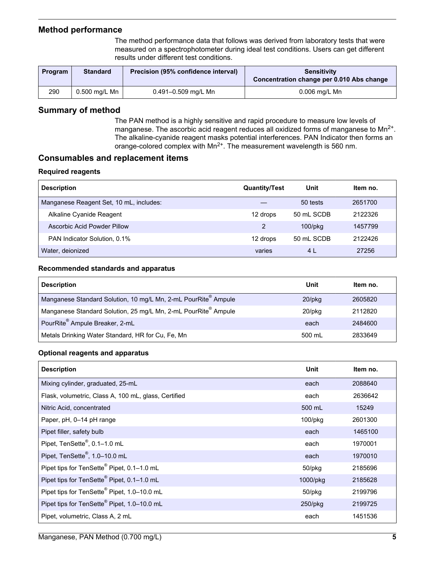#### <span id="page-4-0"></span>**Method performance**

The method performance data that follows was derived from laboratory tests that were measured on a spectrophotometer during ideal test conditions. Users can get different results under different test conditions.

| Program | <b>Standard</b> | Precision (95% confidence interval) | <b>Sensitivity</b><br>Concentration change per 0.010 Abs change |
|---------|-----------------|-------------------------------------|-----------------------------------------------------------------|
| 290     | 0.500 mg/L Mn   | 0.491-0.509 mg/L Mn                 | 0.006 mg/L Mn                                                   |

## **Summary of method**

The PAN method is a highly sensitive and rapid procedure to measure low levels of manganese. The ascorbic acid reagent reduces all oxidized forms of manganese to  $Mn^{2+}$ . The alkaline-cyanide reagent masks potential interferences. PAN Indicator then forms an orange-colored complex with Mn<sup>2+</sup>. The measurement wavelength is 560 nm.

#### **Consumables and replacement items**

#### **Required reagents**

| <b>Description</b>                      | <b>Quantity/Test</b> | Unit          | Item no. |
|-----------------------------------------|----------------------|---------------|----------|
| Manganese Reagent Set, 10 mL, includes: |                      | 50 tests      | 2651700  |
| Alkaline Cyanide Reagent                | 12 drops             | 50 mL SCDB    | 2122326  |
| Ascorbic Acid Powder Pillow             | 2                    | $100$ /p $kg$ | 1457799  |
| PAN Indicator Solution, 0.1%            | 12 drops             | 50 mL SCDB    | 2122426  |
| Water, deionized                        | varies               | 4 L           | 27256    |

#### **Recommended standards and apparatus**

| <b>Description</b>                                                         | Unit      | Item no. |
|----------------------------------------------------------------------------|-----------|----------|
| Manganese Standard Solution, 10 mg/L Mn, 2-mL PourRite <sup>®</sup> Ampule | $20$ /pkq | 2605820  |
| Manganese Standard Solution, 25 mg/L Mn, 2-mL PourRite <sup>®</sup> Ampule | $20$ /pkg | 2112820  |
| PourRite <sup>®</sup> Ampule Breaker, 2-mL                                 | each      | 2484600  |
| Metals Drinking Water Standard, HR for Cu, Fe, Mn                          | 500 mL    | 2833649  |

#### **Optional reagents and apparatus**

| <b>Description</b>                                      | Unit          | Item no. |
|---------------------------------------------------------|---------------|----------|
| Mixing cylinder, graduated, 25-mL                       | each          | 2088640  |
| Flask, volumetric, Class A, 100 mL, glass, Certified    | each          | 2636642  |
| Nitric Acid, concentrated                               | 500 mL        | 15249    |
| Paper, pH, 0-14 pH range                                | $100$ /p $kg$ | 2601300  |
| Pipet filler, safety bulb                               | each          | 1465100  |
| Pipet, TenSette®, 0.1-1.0 mL                            | each          | 1970001  |
| Pipet, TenSette®, 1.0-10.0 mL                           | each          | 1970010  |
| Pipet tips for TenSette <sup>®</sup> Pipet, 0.1-1.0 mL  | $50$ /p $kg$  | 2185696  |
| Pipet tips for TenSette <sup>®</sup> Pipet, 0.1-1.0 mL  | 1000/pkg      | 2185628  |
| Pipet tips for TenSette® Pipet, 1.0-10.0 mL             | 50/pkg        | 2199796  |
| Pipet tips for TenSette <sup>®</sup> Pipet, 1.0-10.0 mL | $250$ /pkg    | 2199725  |
| Pipet, volumetric, Class A, 2 mL                        | each          | 1451536  |